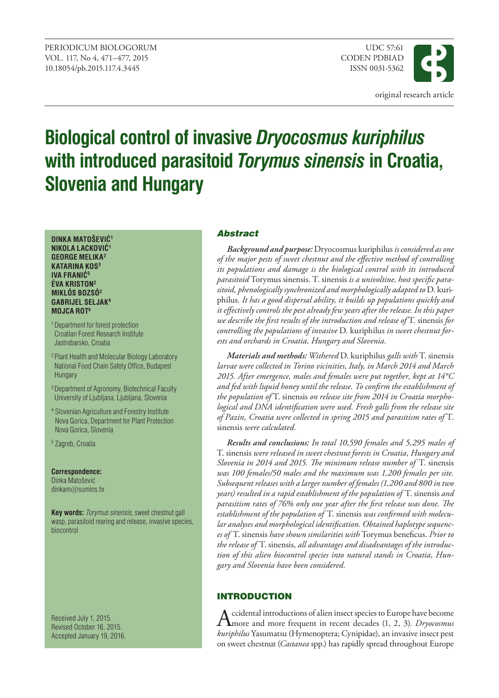

# **Biological control of invasive** *Dryocosmus kuriphilus* **with introduced parasitoid** *Torymus sinensis* **in Croatia, Slovenia and Hungary**

#### **DINKA MATOŠEVIĆ<sup>1</sup> NIKOLA LACKOVIĆ<sup>1</sup> GEORGE MELIKA2 KATARINA KOS3 IVA FRANIĆ<sup>5</sup> ÉVA KRISTON2 MIKLÓS BOZSÓ2 GABRIJEL SELJAK4 MOJCA ROT4**

- 1 Department for forest protection Croatian Forest Research Institute Jastrebarsko, Croatia
- 2 Plant Health and Molecular Biology Laboratory National Food Chain Safety Office, Budapest **Hungary**
- 3 Department of Agronomy, Biotechnical Faculty University of Ljubljana, Ljubljana, Slovenia
- <sup>4</sup> Slovenian Agriculture and Forestry Institute Nova Gorica, Department for Plant Protection Nova Gorica, Slovenia
- <sup>5</sup> Zagreb, Croatia

**Correspondence:** Dinka Matošević dinkam@sumins.hr

**Key words:** *Torymus sinensis,* sweet chestnut gall wasp, parasitoid rearing and release, invasive species, biocontrol

Received July 1, 2015. Revised October 16, 2015. Accepted January 19, 2016.

# Abstract

*Background and purpose:* Dryocosmus kuriphilus *is considered as one of the major pests of sweet chestnut and the effective method of controlling its populations and damage is the biological control with its introduced parasitoid* Torymus sinensis. T. sinensis *is a univoltine, host specific parasitoid, phenologically synchronized and morphologically adapted to* D. kuriphilus*. It has a good dispersal ability, it builds up populations quickly and it effectively controls the pest already few years after the release. In this paper we describe the first results of the introduction and release of* T. sinensis *for controlling the populations of invasive* D. kuriphilus *in sweet chestnut forests and orchards in Croatia, Hungary and Slovenia.*

*Materials and methods: Withered* D. kuriphilus *galls with* T. sinensis *larvae were collected in Torino vicinities, Italy, in March 2014 and March 2015. After emergence, males and females were put together, kept at 14°C and fed with liquid honey until the release. To confirm the establishment of the population of* T. sinensis *on release site from 2014 in Croatia morphological and DNA identification were used. Fresh galls from the release site of Pazin, Croatia were collected in spring 2015 and parasitism rates of* T. sinensis *were calculated.*

*Results and conclusions: In total 10,590 females and 5,295 males of*  T. sinensis *were released in sweet chestnut forests in Croatia, Hungary and Slovenia in 2014 and 2015. The minimum release number of* T. sinensis *was 100 females/50 males and the maximum was 1,200 females per site. Subsequent releases with a larger number of females (1,200 and 800 in two years) resulted in a rapid establishment of the population of* T. sinensis *and parasitism rates of 76% only one year after the first release was done. The establishment of the population of* T. sinensis *was confirmed with molecular analyses and morphological identification. Obtained haplotype sequences of* T. sinensis *have shown similarities with* Torymus beneficus. *Prior to the release of* T. sinensis*, all advantages and disadvantages of the introduction of this alien biocontrol species into natural stands in Croatia, Hungary and Slovenia have been considered.*

# INTRODUCTION

Accidental introductions of alien insect species to Europe have become<br> *More* and more frequent in recent decades (1, 2, 3). *Dryocosmus kuriphilus* Yasumatsu (Hymenoptera; Cynipidae), an invasive insect pest on sweet chestnut (*Castanea* spp.) has rapidly spread throughout Europe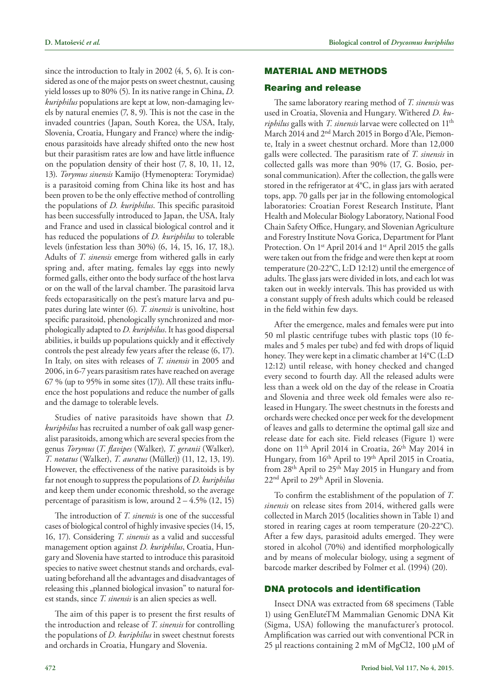since the introduction to Italy in 2002 (4, 5, 6). It is considered as one of the major pests on sweet chestnut, causing yield losses up to 80% (5). In its native range in China, *D. kuriphilus* populations are kept at low, non-damaging levels by natural enemies (7, 8, 9). This is not the case in the invaded countries (Japan, South Korea, the USA, Italy, Slovenia, Croatia, Hungary and France) where the indigenous parasitoids have already shifted onto the new host but their parasitism rates are low and have little influence on the population density of their host (7, 8, 10, 11, 12, 13). *Torymus sinensis* Kamijo (Hymenoptera: Torymidae) is a parasitoid coming from China like its host and has been proven to be the only effective method of controlling the populations of *D. kuriphilus*. This specific parasitoid has been successfully introduced to Japan, the USA, Italy and France and used in classical biological control and it has reduced the populations of *D. kuriphilus* to tolerable levels (infestation less than 30%) (6, 14, 15, 16, 17, 18,). Adults of *T. sinensis* emerge from withered galls in early spring and, after mating, females lay eggs into newly formed galls, either onto the body surface of the host larva or on the wall of the larval chamber. The parasitoid larva feeds ectoparasitically on the pest's mature larva and pupates during late winter (6). *T. sinensis* is univoltine, host specific parasitoid, phenologically synchronized and morphologically adapted to *D. kuriphilus*. It has good dispersal abilities, it builds up populations quickly and it effectively controls the pest already few years after the release (6, 17). In Italy, on sites with releases of *T. sinensis* in 2005 and 2006, in 6-7 years parasitism rates have reached on average  $67%$  (up to  $95%$  in some sites (17)). All these traits influence the host populations and reduce the number of galls and the damage to tolerable levels.

Studies of native parasitoids have shown that *D. kuriphilus* has recruited a number of oak gall wasp generalist parasitoids, among which are several species from the genus *Torymus* (*T. flavipes* (Walker)*, T. geranii* (Walker)*, T. notatus* (Walker), *T. auratus* (Müller)) (11, 12, 13, 19). However, the effectiveness of the native parasitoids is by far not enough to suppress the populations of *D. kuriphilus* and keep them under economic threshold, so the average percentage of parasitism is low, around  $2 - 4.5\%$  (12, 15)

The introduction of *T. sinensis* is one of the successful cases of biological control of highly invasive species (14, 15, 16, 17). Considering *T. sinensis* as a valid and successful management option against *D. kuriphilus*, Croatia, Hungary and Slovenia have started to introduce this parasitoid species to native sweet chestnut stands and orchards, evaluating beforehand all the advantages and disadvantages of releasing this "planned biological invasion" to natural forest stands, since *T. sinensis* is an alien species as well.

The aim of this paper is to present the first results of the introduction and release of *T. sinensis* for controlling the populations of *D. kuriphilus* in sweet chestnut forests and orchards in Croatia, Hungary and Slovenia.

# MATERIAL AND METHODS

#### Rearing and release

The same laboratory rearing method of *T. sinensis* was used in Croatia, Slovenia and Hungary. Withered *D. kuriphilus* galls with *T. sinensis* larvae were collected on 11th March 2014 and 2<sup>nd</sup> March 2015 in Borgo d'Ale, Piemonte, Italy in a sweet chestnut orchard. More than 12,000 galls were collected. The parasitism rate of *T. sinensis* in collected galls was more than 90% (17, G. Bosio, personal communication). After the collection, the galls were stored in the refrigerator at 4°C, in glass jars with aerated tops, app. 70 galls per jar in the following entomological laboratories: Croatian Forest Research Institute, Plant Health and Molecular Biology Laboratory, National Food Chain Safety Office, Hungary, and Slovenian Agriculture and Forestry Institute Nova Gorica, Department for Plant Protection. On 1<sup>st</sup> April 2014 and 1<sup>st</sup> April 2015 the galls were taken out from the fridge and were then kept at room temperature (20-22°C, L:D 12:12) until the emergence of adults. The glass jars were divided in lots, and each lot was taken out in weekly intervals. This has provided us with a constant supply of fresh adults which could be released in the field within few days.

After the emergence, males and females were put into 50 ml plastic centrifuge tubes with plastic tops (10 females and 5 males per tube) and fed with drops of liquid honey. They were kept in a climatic chamber at 14°C (L:D 12:12) until release, with honey checked and changed every second to fourth day. All the released adults were less than a week old on the day of the release in Croatia and Slovenia and three week old females were also released in Hungary. The sweet chestnuts in the forests and orchards were checked once per week for the development of leaves and galls to determine the optimal gall size and release date for each site. Field releases (Figure 1) were done on 11<sup>th</sup> April 2014 in Croatia, 26<sup>th</sup> May 2014 in Hungary, from 16<sup>th</sup> April to 19<sup>th</sup> April 2015 in Croatia, from 28<sup>th</sup> April to 25<sup>th</sup> May 2015 in Hungary and from 22<sup>nd</sup> April to 29<sup>th</sup> April in Slovenia.

To confirm the establishment of the population of *T. sinensis* on release sites from 2014, withered galls were collected in March 2015 (localities shown in Table 1) and stored in rearing cages at room temperature (20-22°C). After a few days, parasitoid adults emerged. They were stored in alcohol (70%) and identified morphologically and by means of molecular biology, using a segment of barcode marker described by Folmer et al. (1994) (20).

# DNA protocols and identification

Insect DNA was extracted from 68 specimens (Table 1) using GenEluteTM Mammalian Genomic DNA Kit (Sigma, USA) following the manufacturer's protocol. Amplification was carried out with conventional PCR in 25 µl reactions containing 2 mM of MgCl2, 100 µM of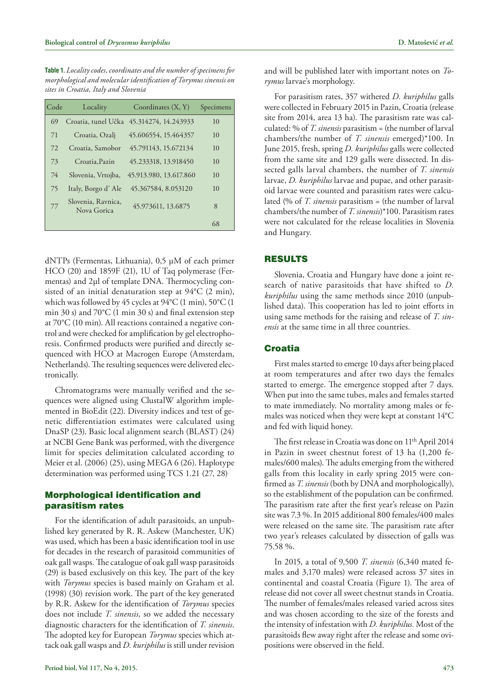77 Slovenia, Ravnica,<br>Nova Gorica

**Table 1.** *Locality codes, coordinates and the number of specimens for morphological and molecular identification of Torymus sinensis on* 

45.973611, 13.6875 8

68

|      | sites in Croatia, Italy and Slovenia |                |                                          |           |  |  |  |  |  |  |  |  |  |
|------|--------------------------------------|----------------|------------------------------------------|-----------|--|--|--|--|--|--|--|--|--|
| Code |                                      | Locality       | Coordinates $(X, Y)$                     | Specimens |  |  |  |  |  |  |  |  |  |
|      | 69                                   |                | Croatia, tunel Učka 45.314274, 14.243933 | 10        |  |  |  |  |  |  |  |  |  |
|      | 71                                   | Croatia, Ozalj | 45.606554, 15.464357                     | 10        |  |  |  |  |  |  |  |  |  |
|      | - 72                                 |                | Croatia, Samobor 45.791143, 15.672134    | 10        |  |  |  |  |  |  |  |  |  |

73 Croatia,Pazin 45.233318, 13.918450 10 74 Slovenia, Vrtojba, 45.913.980, 13.617.860 10 75 Italy, Borgo d' Ale 45.367584, 8.053120 10

dNTPs (Fermentas, Lithuania), 0,5 µM of each primer HCO (20) and 1859F (21), 1U of Taq polymerase (Fermentas) and 2µl of template DNA. Thermocycling consisted of an initial denaturation step at 94°C (2 min), which was followed by 45 cycles at 94°C (1 min), 50°C (1 min 30 s) and 70°C (1 min 30 s) and final extension step at 70°C (10 min). All reactions contained a negative control and were checked for amplification by gel electrophoresis. Confirmed products were purified and directly sequenced with HCO at Macrogen Europe (Amsterdam, Netherlands). The resulting sequences were delivered electronically.

Chromatograms were manually verified and the sequences were aligned using ClustalW algorithm implemented in BioEdit (22). Diversity indices and test of genetic differentiation estimates were calculated using DnaSP (23). Basic local alignment search (BLAST) (24) at NCBI Gene Bank was performed, with the divergence limit for species delimitation calculated according to Meier et al. (2006) (25), using MEGA 6 (26). Haplotype determination was performed using TCS 1.21 (27, 28)

#### Morphological identification and parasitism rates

For the identification of adult parasitoids, an unpublished key generated by R. R. Askew (Manchester, UK) was used, which has been a basic identification tool in use for decades in the research of parasitoid communities of oak gall wasps. The catalogue of oak gall wasp parasitoids (29) is based exclusively on this key. The part of the key with *Torymus* species is based mainly on Graham et al. (1998) (30) revision work. The part of the key generated by R.R. Askew for the identification of *Torymus* species does not include *T. sinensis,* so we added the necessary diagnostic characters for the identification of *T. sinensis*. The adopted key for European *Torymus* species which attack oak gall wasps and *D. kuriphilus* is still under revision

and will be published later with important notes on *Torymus* larvae's morphology.

For parasitism rates, 357 withered *D. kuriphilus* galls were collected in February 2015 in Pazin, Croatia (release site from 2014, area 13 ha). The parasitism rate was calculated: % of *T. sinensis* parasitism = (the number of larval chambers/the number of *T. sinensis* emerged)\*100. In June 2015, fresh, spring *D. kuriphilus* galls were collected from the same site and 129 galls were dissected. In dissected galls larval chambers, the number of *T. sinensis* larvae, *D. kuriphilus* larvae and pupae, and other parasitoid larvae were counted and parasitism rates were calculated (% of *T. sinensis* parasitism = (the number of larval chambers/the number of *T. sinensis*)\*100. Parasitism rates were not calculated for the release localities in Slovenia and Hungary.

#### RESULTS

Slovenia, Croatia and Hungary have done a joint research of native parasitoids that have shifted to *D. kuriphilus* using the same methods since 2010 (unpublished data). This cooperation has led to joint efforts in using same methods for the raising and release of *T. sinensis* at the same time in all three countries.

#### Croatia

First males started to emerge 10 days after being placed at room temperatures and after two days the females started to emerge. The emergence stopped after 7 days. When put into the same tubes, males and females started to mate immediately. No mortality among males or females was noticed when they were kept at constant 14°C and fed with liquid honey.

The first release in Croatia was done on 11th April 2014 in Pazin in sweet chestnut forest of 13 ha (1,200 females/600 males). The adults emerging from the withered galls from this locality in early spring 2015 were confirmed as *T. sinensis* (both by DNA and morphologically), so the establishment of the population can be confirmed. The parasitism rate after the first year's release on Pazin site was 7.3 %. In 2015 additional 800 females/400 males were released on the same site. The parasitism rate after two year's releases calculated by dissection of galls was 75.58 %.

In 2015, a total of 9,500 *T. sinensis* (6,340 mated females and 3,170 males) were released across 37 sites in continental and coastal Croatia (Figure 1). The area of release did not cover all sweet chestnut stands in Croatia. The number of females/males released varied across sites and was chosen according to the size of the forests and the intensity of infestation with *D. kuriphilus.* Most of the parasitoids flew away right after the release and some ovipositions were observed in the field.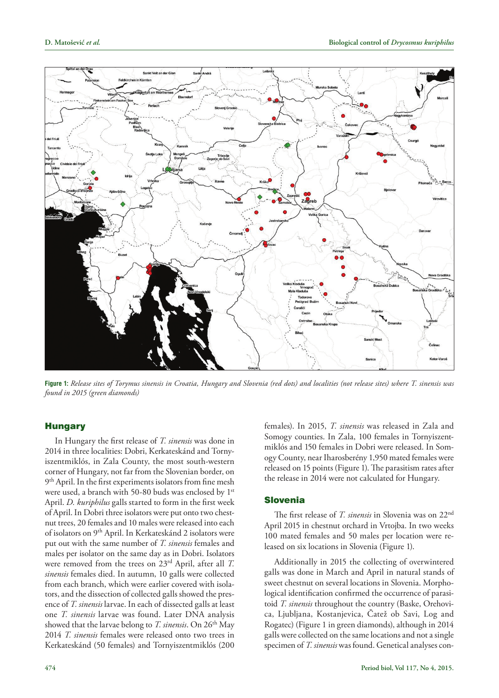

**Figure 1:** *Release sites of Torymus sinensis in Croatia, Hungary and Slovenia (red dots) and localities (not release sites) where T. sinensis was found in 2015 (green diamonds)*

#### **Hungary**

In Hungary the first release of *T. sinensis* was done in 2014 in three localities: Dobri, Kerkateskánd and Tornyiszentmiklós, in Zala County, the most south-western corner of Hungary, not far from the Slovenian border, on 9<sup>th</sup> April. In the first experiments isolators from fine mesh were used, a branch with 50-80 buds was enclosed by 1st April. *D. kuriphilus* galls started to form in the first week of April. In Dobri three isolators were put onto two chestnut trees, 20 females and 10 males were released into each of isolators on 9<sup>th</sup> April. In Kerkateskánd 2 isolators were put out with the same number of *T. sinensis* females and males per isolator on the same day as in Dobri. Isolators were removed from the trees on 23rd April, after all *T. sinensis* females died. In autumn, 10 galls were collected from each branch, which were earlier covered with isolators, and the dissection of collected galls showed the presence of *T. sinensis* larvae. In each of dissected galls at least one *T. sinensis* larvae was found. Later DNA analysis showed that the larvae belong to *T. sinensis*. On 26th May 2014 *T. sinensis* females were released onto two trees in Kerkateskánd (50 females) and Tornyiszentmiklós (200 females). In 2015, *T. sinensis* was released in Zala and Somogy counties. In Zala, 100 females in Tornyiszentmiklós and 150 females in Dobri were released. In Somogy County, near Iharosberény 1,950 mated females were released on 15 points (Figure 1). The parasitism rates after the release in 2014 were not calculated for Hungary.

#### Slovenia

The first release of *T. sinensis* in Slovenia was on 22nd April 2015 in chestnut orchard in Vrtojba. In two weeks 100 mated females and 50 males per location were released on six locations in Slovenia (Figure 1).

Additionally in 2015 the collecting of overwintered galls was done in March and April in natural stands of sweet chestnut on several locations in Slovenia. Morphological identification confirmed the occurrence of parasitoid *T. sinensis* throughout the country (Baske, Orehovica, Ljubljana, Kostanjevica, Čatež ob Savi, Log and Rogatec) (Figure 1 in green diamonds), although in 2014 galls were collected on the same locations and not a single specimen of *T. sinensis* was found. Genetical analyses con-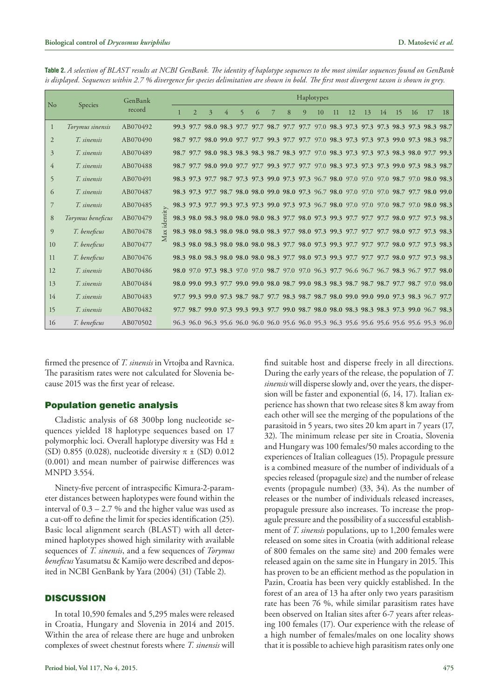| No |                   | GenBank<br>record |          | Haplotypes |   |                                                                                           |   |             |   |  |   |          |    |    |    |    |    |    |    |    |    |
|----|-------------------|-------------------|----------|------------|---|-------------------------------------------------------------------------------------------|---|-------------|---|--|---|----------|----|----|----|----|----|----|----|----|----|
|    | <b>Species</b>    |                   |          |            | 2 | 3                                                                                         | 4 | $5^{\circ}$ | 6 |  | 8 | $\Omega$ | 10 | 11 | 12 | 13 | 14 | 15 | 16 | 17 | 18 |
| 1  | Torymus sinensis  | AB070492          |          |            |   | 99.3 97.7 98.0 98.3 97.7 97.7 98.7 97.7 97.7 97.0 98.3 97.3 97.3 97.3 98.3 97.3 98.3 98.7 |   |             |   |  |   |          |    |    |    |    |    |    |    |    |    |
| 2  | T. sinensis       | AB070490          |          |            |   | 98.7 97.7 98.0 99.0 97.7 97.7 99.3 97.7 97.7 97.0 98.3 97.3 97.3 97.3 99.0 97.3 98.3 98.7 |   |             |   |  |   |          |    |    |    |    |    |    |    |    |    |
| 3  | T. sinensis       | AB070489          |          |            |   | 98.7 97.7 98.0 98.3 98.3 98.3 98.7 98.3 97.7 97.0 98.3 97.3 97.3 97.3 98.3 98.0 97.7 99.3 |   |             |   |  |   |          |    |    |    |    |    |    |    |    |    |
| 4  | T. sinensis       | AB070488          |          |            |   | 98.7 97.7 98.0 99.0 97.7 97.7 99.3 97.7 97.7 97.0 98.3 97.3 97.3 97.3 99.0 97.3 98.3 98.7 |   |             |   |  |   |          |    |    |    |    |    |    |    |    |    |
| 5  | T. sinensis       | AB070491          |          |            |   | 98.3 97.3 97.7 98.7 97.3 97.3 99.0 97.3 97.3 96.7 98.0 97.0 97.0 97.0 98.7 97.0 98.0 98.3 |   |             |   |  |   |          |    |    |    |    |    |    |    |    |    |
| 6  | T. sinensis       | AB070487          |          |            |   | 98.3 97.3 97.7 98.7 98.0 98.0 99.0 98.0 97.3 96.7 98.0 97.0 97.0 97.0 98.7 97.7 98.0 99.0 |   |             |   |  |   |          |    |    |    |    |    |    |    |    |    |
| 7  | T. sinensis       | AB070485          |          |            |   | 98.3 97.3 97.7 99.3 97.3 97.3 99.0 97.3 97.3 96.7 98.0 97.0 97.0 97.0 98.7 97.0 98.0 98.3 |   |             |   |  |   |          |    |    |    |    |    |    |    |    |    |
| 8  | Torymus beneficus | AB070479          | .ਦੇ<br>Z |            |   | 98.3 98.0 98.3 98.0 98.0 98.0 98.3 97.7 98.0 97.3 99.3 97.7 97.7 97.7 98.0 97.7 97.3 98.3 |   |             |   |  |   |          |    |    |    |    |    |    |    |    |    |
| 9  | T. beneficus      | AB070478          |          |            |   | 98.3 98.0 98.3 98.0 98.0 98.0 98.3 97.7 98.0 97.3 99.3 97.7 97.7 97.7 98.0 97.7 97.3 98.3 |   |             |   |  |   |          |    |    |    |    |    |    |    |    |    |
| 10 | T. beneficus      | AB070477          |          |            |   | 98.3 98.0 98.3 98.0 98.0 98.0 98.3 97.7 98.0 97.3 99.3 97.7 97.7 97.7 98.0 97.7 97.3 98.3 |   |             |   |  |   |          |    |    |    |    |    |    |    |    |    |
| 11 | T. beneficus      | AB070476          |          |            |   | 98.3 98.0 98.3 98.0 98.0 98.0 98.3 97.7 98.0 97.3 99.3 97.7 97.7 97.7 98.0 97.7 97.3 98.3 |   |             |   |  |   |          |    |    |    |    |    |    |    |    |    |
| 12 | T. sinensis       | AB070486          |          |            |   | 98.0 97.0 97.3 98.3 97.0 97.0 98.7 97.0 97.0 96.3 97.7 96.6 96.7 96.7 98.3 96.7 97.7 98.0 |   |             |   |  |   |          |    |    |    |    |    |    |    |    |    |
| 13 | T. sinensis       | AB070484          |          |            |   | 98.0 99.0 99.3 97.7 99.0 99.0 98.0 98.7 99.0 98.3 98.3 98.7 98.7 98.7 97.7 98.7 97.0 98.0 |   |             |   |  |   |          |    |    |    |    |    |    |    |    |    |
| 14 | T. sinensis       | AB070483          |          |            |   | 97.7 99.3 99.0 97.3 98.7 98.7 97.7 98.3 98.7 98.7 98.0 99.0 99.0 99.0 97.3 98.3 96.7 97.7 |   |             |   |  |   |          |    |    |    |    |    |    |    |    |    |
| 15 | T. sinensis       | AB070482          |          |            |   | 97.7 98.7 99.0 97.3 99.3 99.3 97.7 99.0 98.7 98.0 98.0 98.3 98.3 98.3 97.3 99.0 96.7 98.3 |   |             |   |  |   |          |    |    |    |    |    |    |    |    |    |
| 16 | T. beneficus      | AB070502          |          |            |   | 96.3 96.0 96.3 95.6 96.0 96.0 96.0 95.6 96.0 95.3 96.3 95.6 95.6 95.6 95.6 95.3 96.0      |   |             |   |  |   |          |    |    |    |    |    |    |    |    |    |

**Table 2.** *A selection of BLAST results at NCBI GenBank. The identity of haplotype sequences to the most similar sequences found on GenBank is displayed. Sequences within 2.7 % divergence for species delimitation are shown in bold. The first most divergent taxon is shown in grey.*

firmed the presence of *T. sinensis* in Vrtojba and Ravnica. The parasitism rates were not calculated for Slovenia because 2015 was the first year of release.

# Population genetic analysis

Cladistic analysis of 68 300bp long nucleotide sequences yielded 18 haplotype sequences based on 17 polymorphic loci. Overall haplotype diversity was Hd ± (SD) 0.855 (0.028), nucleotide diversity  $\pi \pm$  (SD) 0.012 (0.001) and mean number of pairwise differences was MNPD 3.554.

Ninety-five percent of intraspecific Kimura-2-parameter distances between haplotypes were found within the interval of  $0.3 - 2.7$  % and the higher value was used as a cut-off to define the limit for species identification (25). Basic local alignment search (BLAST) with all determined haplotypes showed high similarity with available sequences of *T. sinensis*, and a few sequences of *Torymus beneficus* Yasumatsu & Kamijo were described and deposited in NCBI GenBank by Yara (2004) (31) (Table 2).

#### **DISCUSSION**

In total 10,590 females and 5,295 males were released in Croatia, Hungary and Slovenia in 2014 and 2015. Within the area of release there are huge and unbroken complexes of sweet chestnut forests where *T. sinensis* will find suitable host and disperse freely in all directions. During the early years of the release, the population of *T. sinensis* will disperse slowly and, over the years, the dispersion will be faster and exponential (6, 14, 17). Italian experience has shown that two release sites 8 km away from each other will see the merging of the populations of the parasitoid in 5 years, two sites 20 km apart in 7 years (17, 32). The minimum release per site in Croatia, Slovenia and Hungary was 100 females/50 males according to the experiences of Italian colleagues (15). Propagule pressure is a combined measure of the number of individuals of a species released (propagule size) and the number of release events (propagule number) (33, 34). As the number of releases or the number of individuals released increases, propagule pressure also increases. To increase the propagule pressure and the possibility of a successful establishment of *T. sinensis* populations, up to 1,200 females were released on some sites in Croatia (with additional release of 800 females on the same site) and 200 females were released again on the same site in Hungary in 2015. This has proven to be an efficient method as the population in Pazin, Croatia has been very quickly established. In the forest of an area of 13 ha after only two years parasitism rate has been 76 %, while similar parasitism rates have been observed on Italian sites after 6-7 years after releasing 100 females (17). Our experience with the release of a high number of females/males on one locality shows that it is possible to achieve high parasitism rates only one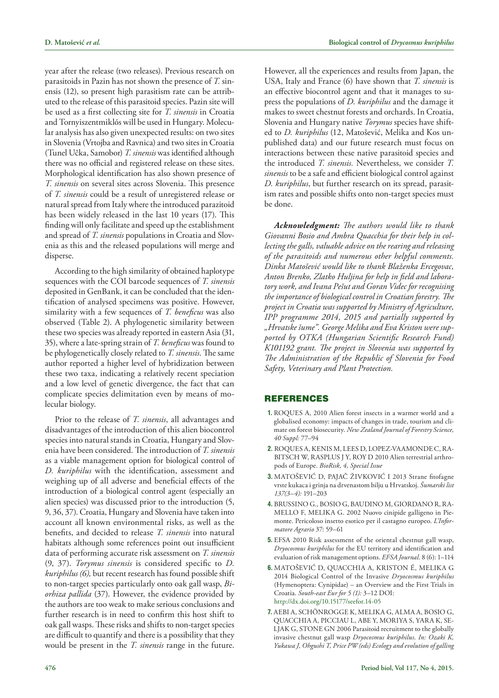year after the release (two releases). Previous research on parasitoids in Pazin has not shown the presence of *T.* sinensis (12), so present high parasitism rate can be attributed to the release of this parasitoid species. Pazin site will be used as a first collecting site for *T. sinensis* in Croatia and Tornyiszentmiklós will be used in Hungary. Molecular analysis has also given unexpected results: on two sites in Slovenia (Vrtojba and Ravnica) and two sites in Croatia (Tunel Učka, Samobor) *T. sinensis* was identified although there was no official and registered release on these sites. Morphological identification has also shown presence of *T. sinensis* on several sites across Slovenia. This presence of *T. sinensis* could be a result of unregistered release or natural spread from Italy where the introduced parazitoid has been widely released in the last 10 years (17). This finding will only facilitate and speed up the establishment and spread of *T. sinensis* populations in Croatia and Slovenia as this and the released populations will merge and disperse.

According to the high similarity of obtained haplotype sequences with the COI barcode sequences of *T. sinensis* deposited in GenBank, it can be concluded that the identification of analysed specimens was positive. However, similarity with a few sequences of *T. beneficus* was also observed (Table 2). A phylogenetic similarity between these two species was already reported in eastern Asia (31, 35), where a late-spring strain of *T. beneficus* was found to be phylogenetically closely related to *T. sinensis*. The same author reported a higher level of hybridization between these two taxa, indicating a relatively recent speciation and a low level of genetic divergence, the fact that can complicate species delimitation even by means of molecular biology.

Prior to the release of *T. sinensis*, all advantages and disadvantages of the introduction of this alien biocontrol species into natural stands in Croatia, Hungary and Slovenia have been considered. The introduction of *T. sinensis* as a viable management option for biological control of *D. kuriphilus* with the identification, assessment and weighing up of all adverse and beneficial effects of the introduction of a biological control agent (especially an alien species) was discussed prior to the introduction (5, 9, 36, 37). Croatia, Hungary and Slovenia have taken into account all known environmental risks, as well as the benefits, and decided to release *T. sinensis* into natural habitats although some references point out insufficient data of performing accurate risk assessment on *T. sinensis* (9, 37). *Torymus sinensis* is considered specific to *D. kuriphilus (6),* but recent research has found possible shift to non-target species particularly onto oak gall wasp, *Biorhiza pallida* (37). However, the evidence provided by the authors are too weak to make serious conclusions and further research is in need to confirm this host shift to oak gall wasps. These risks and shifts to non-target species are difficult to quantify and there is a possibility that they would be present in the *T. sinensis* range in the future.

However, all the experiences and results from Japan, the USA, Italy and France (6) have shown that *T. sinensis* is an effective biocontrol agent and that it manages to supress the populations of *D. kuriphilus* and the damage it makes to sweet chestnut forests and orchards. In Croatia, Slovenia and Hungary native *Torymus* species have shifted to *D. kuriphilus* (12, Matošević, Melika and Kos unpublished data) and our future research must focus on interactions between these native parasitoid species and the introduced *T. sinensis.* Nevertheless, we consider *T. sinensis* to be a safe and efficient biological control against *D. kuriphilus*, but further research on its spread, parasitism rates and possible shifts onto non-target species must be done.

*Acknowledgment: The authors would like to thank Giovanni Bosio and Ambra Quacchia for their help in collecting the galls, valuable advice on the rearing and releasing of the parasitoids and numerous other helpful comments. Dinka Matošević would like to thank Blaženka Ercegovac, Anton Brenko, Zlatko Huljina for help in field and laboratory work, and Ivana Pešut and Goran Videc for recognising the importance of biological control in Croatian forestry. The project in Croatia was supported by Ministry of Agriculture, IPP programme 2014, 2015 and partially supported by "Hrvatske šume". George Melika and Eva Kriston were supported by OTKA (Hungarian Scientific Research Fund) K101192 grant. The project in Slovenia was supported by The Administration of the Republic of Slovenia for Food Safety, Veterinary and Plant Protection.*

#### REFERENCES

- **1.** ROQUES A, 2010 Alien forest insects in a warmer world and a globalised economy: impacts of changes in trade, tourism and climate on forest biosecurity. *New Zealand Journal of Forestry Science, 40 Suppl:* 77–94
- **2.** ROQUES A, KENIS M, LEES D, LOPEZ-VAAMONDE C, RA-BITSCH W, RASPLUS J Y, ROY D 2010 Alien terrestrial arthropods of Europe. *BioRisk, 4, Special Issue*
- **3.** MATOŠEVIĆ D, PAJAČ ŽIVKOVIĆ I 2013 Strane fitofagne vrste kukaca i grinja na drvenastom bilju u Hrvatskoj. *Šumarski list 137(3–4):* 191–203
- **4.** BRUSSINO G., BOSIO G, BAUDINO M, GIORDANO R, RA-MELLO F, MELIKA G. 2002 Nuovo cinipide galligeno in Piemonte. Pericoloso insetto esotico per il castagno europeo. *L'Informatore Agrario* 37: 59–61
- **5.** EFSA 2010 Risk assessment of the oriental chestnut gall wasp, *Dryocosmus kuriphilus* for the EU territory and identification and evaluation of risk management options. *EFSA Journal*. 8 (6): 1–114
- **6.** MATOŠEVIĆ D, QUACCHIA A, KRISTON É, MELIKA G 2014 Biological Control of the Invasive *Dryocosmus kuriphilus* (Hymenoptera: Cynipidae) – an Overview and the First Trials in Croatia. *South-east Eur for 5 (1):* 3–12 DOI: <http://dx.doi.org/10.15177/seefor.14-05>
- **7.** AEBI A, SCHÖNROGGE K, MELIKA G, ALMA A, BOSIO G, QUACCHIA A, PICCIAU L, ABE Y, MORIYA S, YARA K, SE-LJAK G, STONE GN 2006 Parasitoid recruitment to the globally invasive chestnut gall wasp *Dryocosmus kuriphilus*. *In: Ozaki K, Yukawa J, Ohgushi T, Price PW (eds) Ecology and evolution of galling*